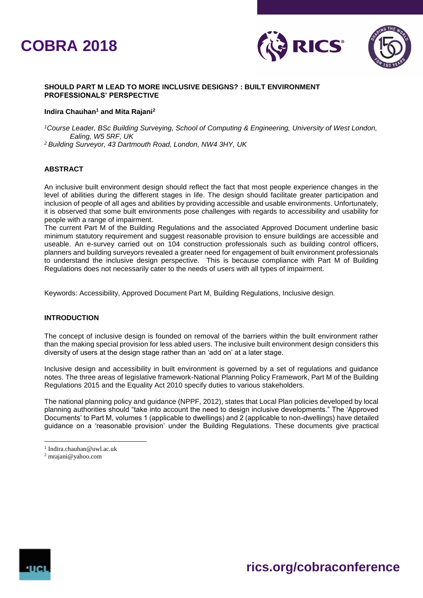



#### **SHOULD PART M LEAD TO MORE INCLUSIVE DESIGNS? : BUILT ENVIRONMENT PROFESSIONALS' PERSPECTIVE**

#### **Indira Chauhan<sup>1</sup> and Mita Rajani<sup>2</sup>**

*<sup>1</sup>Course Leader, BSc Building Surveying, School of Computing & Engineering, University of West London, Ealing, W5 5RF, UK*

*<sup>2</sup>Building Surveyor, 43 Dartmouth Road, London, NW4 3HY, UK*

# **ABSTRACT**

An inclusive built environment design should reflect the fact that most people experience changes in the level of abilities during the different stages in life. The design should facilitate greater participation and inclusion of people of all ages and abilities by providing accessible and usable environments. Unfortunately, it is observed that some built environments pose challenges with regards to accessibility and usability for people with a range of impairment.

The current Part M of the Building Regulations and the associated Approved Document underline basic minimum statutory requirement and suggest reasonable provision to ensure buildings are accessible and useable. An e-survey carried out on 104 construction professionals such as building control officers, planners and building surveyors revealed a greater need for engagement of built environment professionals to understand the inclusive design perspective. This is because compliance with Part M of Building Regulations does not necessarily cater to the needs of users with all types of impairment.

Keywords: Accessibility, Approved Document Part M, Building Regulations, Inclusive design.

# **INTRODUCTION**

The concept of inclusive design is founded on removal of the barriers within the built environment rather than the making special provision for less abled users. The inclusive built environment design considers this diversity of users at the design stage rather than an 'add on' at a later stage.

Inclusive design and accessibility in built environment is governed by a set of regulations and guidance notes. The three areas of legislative framework-National Planning Policy Framework, Part M of the Building Regulations 2015 and the Equality Act 2010 specify duties to various stakeholders.

The national planning policy and guidance (NPPF, 2012), states that Local Plan policies developed by local planning authorities should "take into account the need to design inclusive developments." The 'Approved Documents' to Part M, volumes 1 (applicable to dwellings) and 2 (applicable to non-dwellings) have detailed guidance on a 'reasonable provision' under the Building Regulations. These documents give practical



I

 $\overline{a}$ 

<sup>1</sup> Indira.chauhan@uwl.ac.uk

<sup>2</sup> mrajani@yahoo.com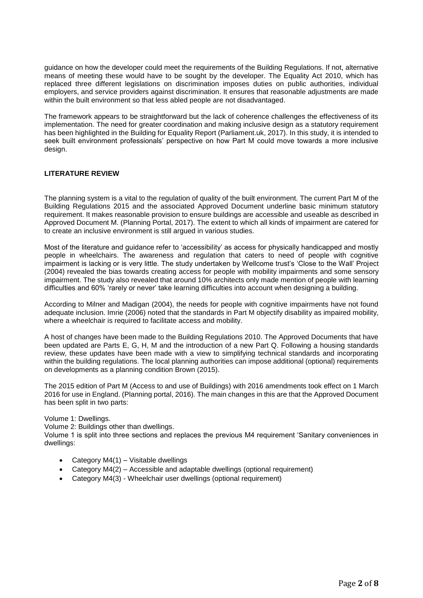guidance on how the developer could meet the requirements of the Building Regulations. If not, alternative means of meeting these would have to be sought by the developer. The Equality Act 2010, which has replaced three different legislations on discrimination imposes duties on public authorities, individual employers, and service providers against discrimination. It ensures that reasonable adjustments are made within the built environment so that less abled people are not disadvantaged.

The framework appears to be straightforward but the lack of coherence challenges the effectiveness of its implementation. The need for greater coordination and making inclusive design as a statutory requirement has been highlighted in the Building for Equality Report (Parliament.uk, 2017). In this study, it is intended to seek built environment professionals' perspective on how Part M could move towards a more inclusive design.

# **LITERATURE REVIEW**

The planning system is a vital to the regulation of quality of the built environment. The current Part M of the Building Regulations 2015 and the associated Approved Document underline basic minimum statutory requirement. It makes reasonable provision to ensure buildings are accessible and useable as described in Approved Document M. (Planning Portal, 2017). The extent to which all kinds of impairment are catered for to create an inclusive environment is still argued in various studies.

Most of the literature and guidance refer to 'accessibility' as access for physically handicapped and mostly people in wheelchairs. The awareness and regulation that caters to need of people with cognitive impairment is lacking or is very little. The study undertaken by Wellcome trust's 'Close to the Wall' Project (2004) revealed the bias towards creating access for people with mobility impairments and some sensory impairment. The study also revealed that around 10% architects only made mention of people with learning difficulties and 60% 'rarely or never' take learning difficulties into account when designing a building.

According to Milner and Madigan (2004), the needs for people with cognitive impairments have not found adequate inclusion. Imrie (2006) noted that the standards in Part M objectify disability as impaired mobility, where a wheelchair is required to facilitate access and mobility.

A host of changes have been made to the Building Regulations 2010. The Approved Documents that have been updated are Parts E, G, H, M and the introduction of a new Part Q. Following a housing standards review, these updates have been made with a view to simplifying technical standards and incorporating within the building regulations. The local planning authorities can impose additional (optional) requirements on developments as a planning condition Brown (2015).

The 2015 edition of Part M (Access to and use of Buildings) with 2016 amendments took effect on 1 March 2016 for use in England. (Planning portal, 2016). The main changes in this are that the Approved Document has been split in two parts:

Volume 1: Dwellings.

Volume 2: Buildings other than dwellings.

Volume 1 is split into three sections and replaces the previous M4 requirement 'Sanitary conveniences in dwellings:

- Category M4(1) Visitable dwellings
- Category M4(2) Accessible and adaptable dwellings (optional requirement)
- Category M4(3) Wheelchair user dwellings (optional requirement)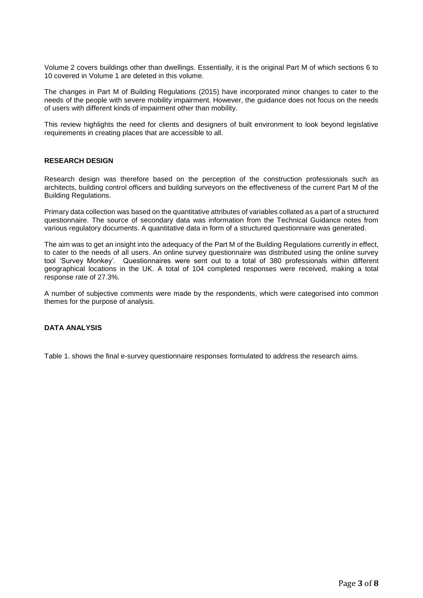Volume 2 covers buildings other than dwellings. Essentially, it is the original Part M of which sections 6 to 10 covered in Volume 1 are deleted in this volume.

The changes in Part M of Building Regulations (2015) have incorporated minor changes to cater to the needs of the people with severe mobility impairment. However, the guidance does not focus on the needs of users with different kinds of impairment other than mobility.

This review highlights the need for clients and designers of built environment to look beyond legislative requirements in creating places that are accessible to all.

#### **RESEARCH DESIGN**

Research design was therefore based on the perception of the construction professionals such as architects, building control officers and building surveyors on the effectiveness of the current Part M of the Building Regulations.

Primary data collection was based on the quantitative attributes of variables collated as a part of a structured questionnaire. The source of secondary data was information from the Technical Guidance notes from various regulatory documents. A quantitative data in form of a structured questionnaire was generated.

The aim was to get an insight into the adequacy of the Part M of the Building Regulations currently in effect, to cater to the needs of all users. An online survey questionnaire was distributed using the online survey tool 'Survey Monkey'. Questionnaires were sent out to a total of 380 professionals within different geographical locations in the UK. A total of 104 completed responses were received, making a total response rate of 27.3%.

A number of subjective comments were made by the respondents, which were categorised into common themes for the purpose of analysis.

#### **DATA ANALYSIS**

Table 1. shows the final e-survey questionnaire responses formulated to address the research aims.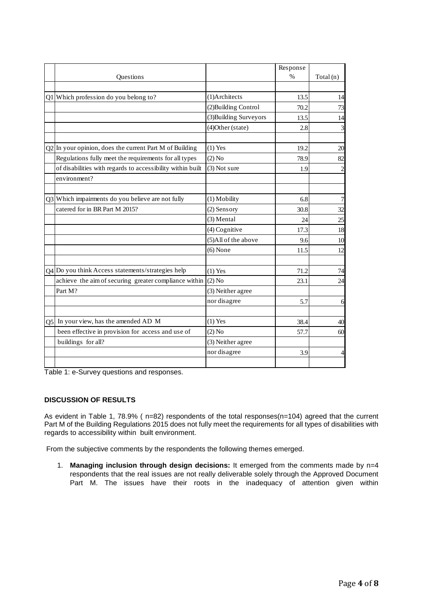|                                                            |                                                                                                                                                                                                                             | Response |          |
|------------------------------------------------------------|-----------------------------------------------------------------------------------------------------------------------------------------------------------------------------------------------------------------------------|----------|----------|
|                                                            |                                                                                                                                                                                                                             |          | Total(n) |
| Q1 Which profession do you belong to?                      | (1)Architects                                                                                                                                                                                                               | 13.5     | 14       |
|                                                            | (2) Building Control                                                                                                                                                                                                        | 70.2     | 73       |
|                                                            | (3) Building Surveyors                                                                                                                                                                                                      | 13.5     | 14       |
|                                                            | (4) Other (state)                                                                                                                                                                                                           | 2.8      | 3        |
|                                                            | $(1)$ Yes                                                                                                                                                                                                                   | 19.2     | 20       |
| Regulations fully meet the requirements for all types      | $(2)$ No                                                                                                                                                                                                                    | 78.9     | 82       |
| of disabilities with regards to accessibility within built | (3) Not sure                                                                                                                                                                                                                | 1.9      | 2        |
| environment?                                               |                                                                                                                                                                                                                             |          |          |
|                                                            | (1) Mobility                                                                                                                                                                                                                | 6.8      | 7        |
| catered for in BR Part M 2015?                             | (2) Sensory                                                                                                                                                                                                                 | 30.8     | 32       |
|                                                            | (3) Mental                                                                                                                                                                                                                  | 24       | 25       |
|                                                            | (4) Cognitive                                                                                                                                                                                                               | 17.3     | 18       |
|                                                            | (5)All of the above                                                                                                                                                                                                         | 9.6      | 10       |
|                                                            | $(6)$ None                                                                                                                                                                                                                  | 11.5     | 12       |
|                                                            | $(1)$ Yes                                                                                                                                                                                                                   | 71.2     | 74       |
| achieve the aim of securing greater compliance within      | $(2)$ No                                                                                                                                                                                                                    | 23.1     | 24       |
| Part M?                                                    | (3) Neither agree                                                                                                                                                                                                           |          |          |
|                                                            | nor disagree                                                                                                                                                                                                                | 5.7      | 6        |
|                                                            | $(1)$ Yes                                                                                                                                                                                                                   | 38.4     | 40       |
| been effective in provision for access and use of          | $(2)$ No                                                                                                                                                                                                                    | 57.7     | 60       |
| buildings for all?                                         | (3) Neither agree                                                                                                                                                                                                           |          |          |
|                                                            | nor disagree                                                                                                                                                                                                                | 3.9      | 4        |
|                                                            | Questions<br>$Q2$ In your opinion, does the current Part M of Building<br>Q3 Which impairments do you believe are not fully<br>Q4 Do you think Access statements/strategies help<br>$Q5$ In your view, has the amended AD M |          | $\%$     |

Table 1: e-Survey questions and responses.

# **DISCUSSION OF RESULTS**

As evident in Table 1, 78.9% ( n=82) respondents of the total responses(n=104) agreed that the current Part M of the Building Regulations 2015 does not fully meet the requirements for all types of disabilities with regards to accessibility within built environment.

From the subjective comments by the respondents the following themes emerged.

1. **Managing inclusion through design decisions:** It emerged from the comments made by n=4 respondents that the real issues are not really deliverable solely through the Approved Document Part M. The issues have their roots in the inadequacy of attention given within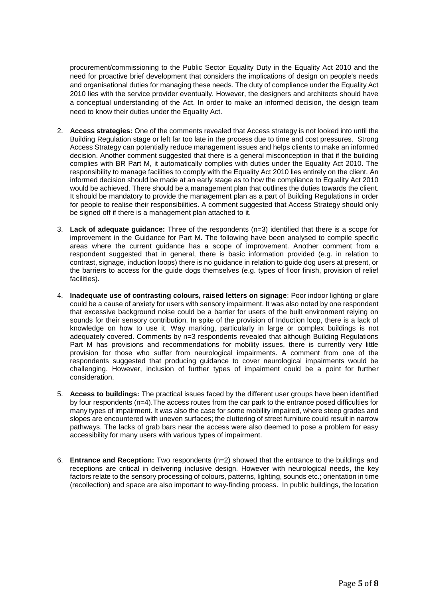procurement/commissioning to the Public Sector Equality Duty in the Equality Act 2010 and the need for proactive brief development that considers the implications of design on people's needs and organisational duties for managing these needs. The duty of compliance under the Equality Act 2010 lies with the service provider eventually. However, the designers and architects should have a conceptual understanding of the Act. In order to make an informed decision, the design team need to know their duties under the Equality Act.

- 2. **Access strategies:** One of the comments revealed that Access strategy is not looked into until the Building Regulation stage or left far too late in the process due to time and cost pressures. Strong Access Strategy can potentially reduce management issues and helps clients to make an informed decision. Another comment suggested that there is a general misconception in that if the building complies with BR Part M, it automatically complies with duties under the Equality Act 2010. The responsibility to manage facilities to comply with the Equality Act 2010 lies entirely on the client. An informed decision should be made at an early stage as to how the compliance to Equality Act 2010 would be achieved. There should be a management plan that outlines the duties towards the client. It should be mandatory to provide the management plan as a part of Building Regulations in order for people to realise their responsibilities. A comment suggested that Access Strategy should only be signed off if there is a management plan attached to it.
- 3. **Lack of adequate guidance:** Three of the respondents (n=3) identified that there is a scope for improvement in the Guidance for Part M. The following have been analysed to compile specific areas where the current guidance has a scope of improvement. Another comment from a respondent suggested that in general, there is basic information provided (e.g. in relation to contrast, signage, induction loops) there is no guidance in relation to guide dog users at present, or the barriers to access for the guide dogs themselves (e.g. types of floor finish, provision of relief facilities).
- 4. **Inadequate use of contrasting colours, raised letters on signage**: Poor indoor lighting or glare could be a cause of anxiety for users with sensory impairment. It was also noted by one respondent that excessive background noise could be a barrier for users of the built environment relying on sounds for their sensory contribution. In spite of the provision of Induction loop, there is a lack of knowledge on how to use it. Way marking, particularly in large or complex buildings is not adequately covered. Comments by n=3 respondents revealed that although Building Regulations Part M has provisions and recommendations for mobility issues, there is currently very little provision for those who suffer from neurological impairments. A comment from one of the respondents suggested that producing guidance to cover neurological impairments would be challenging. However, inclusion of further types of impairment could be a point for further consideration.
- 5. **Access to buildings:** The practical issues faced by the different user groups have been identified by four respondents (n=4).The access routes from the car park to the entrance posed difficulties for many types of impairment. It was also the case for some mobility impaired, where steep grades and slopes are encountered with uneven surfaces; the cluttering of street furniture could result in narrow pathways. The lacks of grab bars near the access were also deemed to pose a problem for easy accessibility for many users with various types of impairment.
- 6. **Entrance and Reception:** Two respondents (n=2) showed that the entrance to the buildings and receptions are critical in delivering inclusive design. However with neurological needs, the key factors relate to the sensory processing of colours, patterns, lighting, sounds etc.; orientation in time (recollection) and space are also important to way-finding process. In public buildings, the location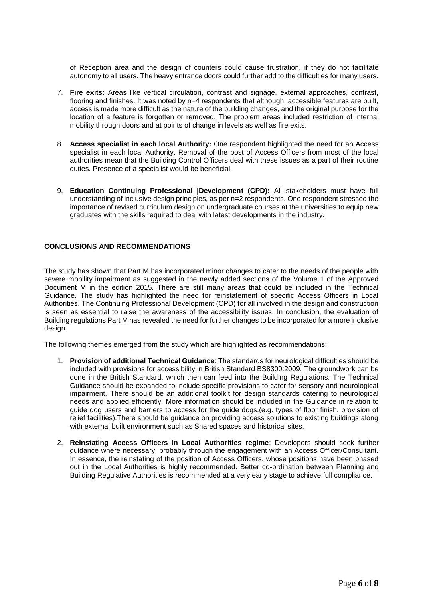of Reception area and the design of counters could cause frustration, if they do not facilitate autonomy to all users. The heavy entrance doors could further add to the difficulties for many users.

- 7. **Fire exits:** Areas like vertical circulation, contrast and signage, external approaches, contrast, flooring and finishes. It was noted by n=4 respondents that although, accessible features are built, access is made more difficult as the nature of the building changes, and the original purpose for the location of a feature is forgotten or removed. The problem areas included restriction of internal mobility through doors and at points of change in levels as well as fire exits.
- 8. **Access specialist in each local Authority:** One respondent highlighted the need for an Access specialist in each local Authority. Removal of the post of Access Officers from most of the local authorities mean that the Building Control Officers deal with these issues as a part of their routine duties. Presence of a specialist would be beneficial.
- 9. **Education Continuing Professional |Development (CPD):** All stakeholders must have full understanding of inclusive design principles, as per n=2 respondents. One respondent stressed the importance of revised curriculum design on undergraduate courses at the universities to equip new graduates with the skills required to deal with latest developments in the industry.

# **CONCLUSIONS AND RECOMMENDATIONS**

The study has shown that Part M has incorporated minor changes to cater to the needs of the people with severe mobility impairment as suggested in the newly added sections of the Volume 1 of the Approved Document M in the edition 2015. There are still many areas that could be included in the Technical Guidance. The study has highlighted the need for reinstatement of specific Access Officers in Local Authorities. The Continuing Professional Development (CPD) for all involved in the design and construction is seen as essential to raise the awareness of the accessibility issues. In conclusion, the evaluation of Building regulations Part M has revealed the need for further changes to be incorporated for a more inclusive design.

The following themes emerged from the study which are highlighted as recommendations:

- 1. **Provision of additional Technical Guidance**: The standards for neurological difficulties should be included with provisions for accessibility in British Standard BS8300:2009. The groundwork can be done in the British Standard, which then can feed into the Building Regulations. The Technical Guidance should be expanded to include specific provisions to cater for sensory and neurological impairment. There should be an additional toolkit for design standards catering to neurological needs and applied efficiently. More information should be included in the Guidance in relation to guide dog users and barriers to access for the guide dogs.(e.g. types of floor finish, provision of relief facilities).There should be guidance on providing access solutions to existing buildings along with external built environment such as Shared spaces and historical sites.
- 2. **Reinstating Access Officers in Local Authorities regime**: Developers should seek further guidance where necessary, probably through the engagement with an Access Officer/Consultant. In essence, the reinstating of the position of Access Officers, whose positions have been phased out in the Local Authorities is highly recommended. Better co-ordination between Planning and Building Regulative Authorities is recommended at a very early stage to achieve full compliance.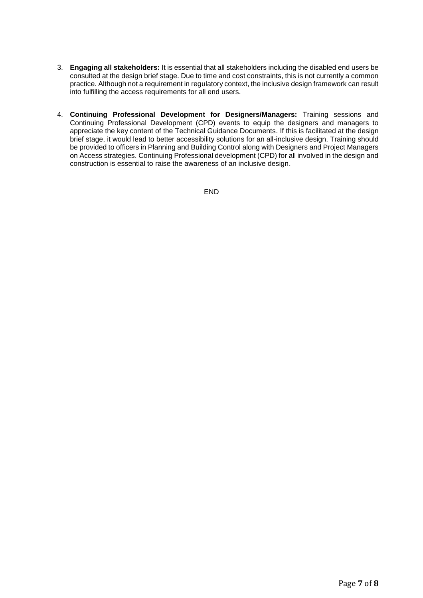- 3. **Engaging all stakeholders:** It is essential that all stakeholders including the disabled end users be consulted at the design brief stage. Due to time and cost constraints, this is not currently a common practice. Although not a requirement in regulatory context, the inclusive design framework can result into fulfilling the access requirements for all end users.
- 4. **Continuing Professional Development for Designers/Managers:** Training sessions and Continuing Professional Development (CPD) events to equip the designers and managers to appreciate the key content of the Technical Guidance Documents. If this is facilitated at the design brief stage, it would lead to better accessibility solutions for an all-inclusive design. Training should be provided to officers in Planning and Building Control along with Designers and Project Managers on Access strategies. Continuing Professional development (CPD) for all involved in the design and construction is essential to raise the awareness of an inclusive design.

END